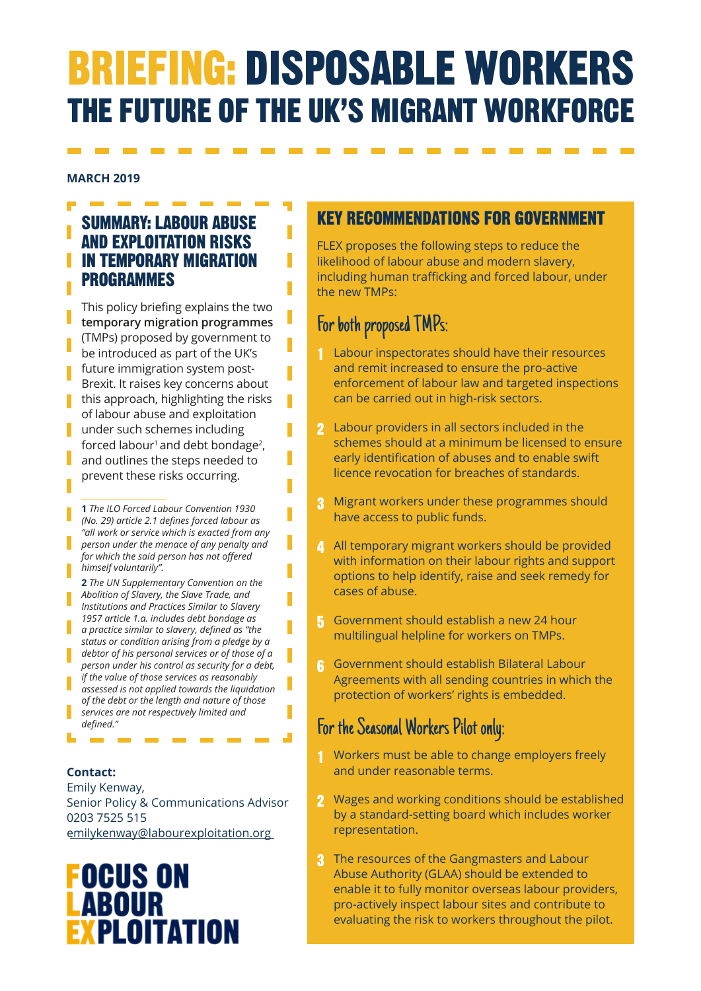# BRIEFING: DISPOSABLE WORKERS THE FUTURE OF THE UK'S MIGRANT WORKFORCE

#### **MARCH 2019**

# SUMMARY: LABOUR ABUSE AND EXPLOITATION RISKS **I** IN TEMPORARY MIGRATION **PROGRAMMES**

This policy briefing explains the two **temporary migration programmes** (TMPs) proposed by government to be introduced as part of the UK's future immigration system post-Brexit. It raises key concerns about this approach, highlighting the risks of labour abuse and exploitation under such schemes including forced labour<sup>1</sup> and debt bondage<sup>2</sup>, and outlines the steps needed to prevent these risks occurring.

- **1** *The ILO Forced Labour Convention 1930 (No. 29) article 2.1 defines forced labour as "all work or service which is exacted from any person under the menace of any penalty and for which the said person has not offered himself voluntarily".*
- **2** *The UN Supplementary Convention on the Abolition of Slavery, the Slave Trade, and Institutions and Practices Similar to Slavery 1957 article 1.a. includes debt bondage as a practice similar to slavery, defined as "the status or condition arising from a pledge by a debtor of his personal services or of those of a*
- *person under his control as security for a debt, if the value of those services as reasonably assessed is not applied towards the liquidation of the debt or the length and nature of those services are not respectively limited and defined."*

#### **Contact:**

Emily Kenway, Senior Policy & Communications Advisor 0203 7525 515 [emilykenway@labourexploitation.org](mailto:emilykenway@labourexploitation.org)

# **FOCUS ON** ABOUR **EPLOITATION**

# KEY RECOMMENDATIONS FOR GOVERNMENT

FLEX proposes the following steps to reduce the likelihood of labour abuse and modern slavery, including human trafficking and forced labour, under the new TMPs:

# For both proposed TMPs:

П

П

П

П

П

- 1 Labour inspectorates should have their resources and remit increased to ensure the pro-active enforcement of labour law and targeted inspections can be carried out in high-risk sectors.
- 2 Labour providers in all sectors included in the schemes should at a minimum be licensed to ensure early identification of abuses and to enable swift licence revocation for breaches of standards.
- 3 Migrant workers under these programmes should have access to public funds.
- 4 All temporary migrant workers should be provided with information on their labour rights and support options to help identify, raise and seek remedy for cases of abuse.
- 5 Government should establish a new 24 hour multilingual helpline for workers on TMPs.
- 6 Government should establish Bilateral Labour Agreements with all sending countries in which the protection of workers' rights is embedded.

# For the Seasonal Workers Pilot only:

- 1 Workers must be able to change employers freely and under reasonable terms.
- 2 Wages and working conditions should be established by a standard-setting board which includes worker representation.
- 3 The resources of the Gangmasters and Labour Abuse Authority (GLAA) should be extended to enable it to fully monitor overseas labour providers, pro-actively inspect labour sites and contribute to evaluating the risk to workers throughout the pilot.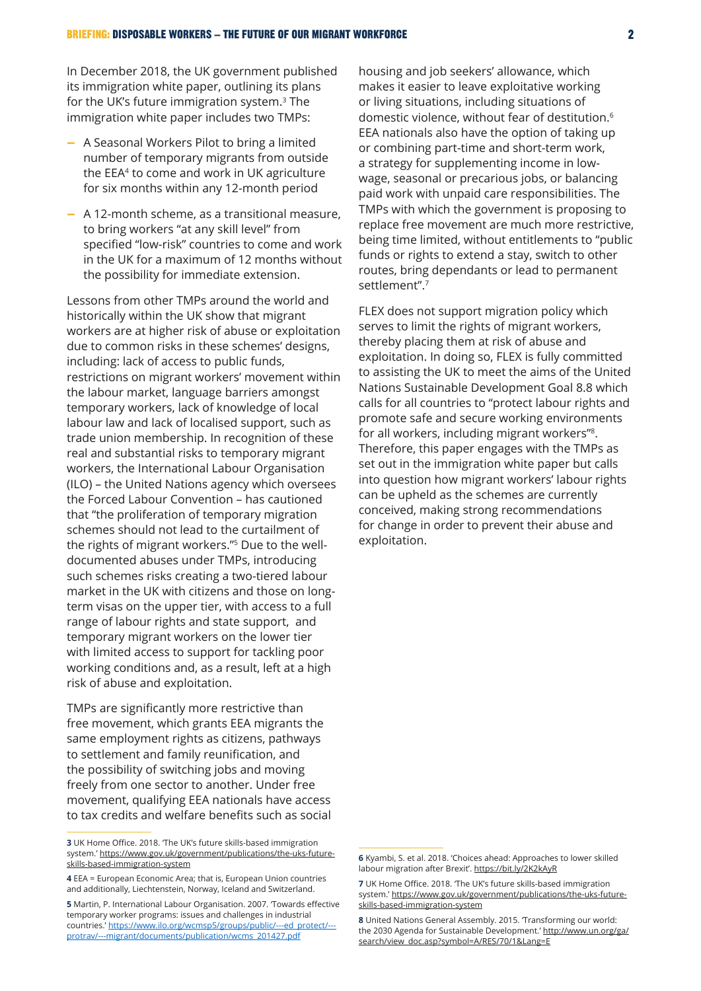In December 2018, the UK government published its immigration white paper, outlining its plans for the UK's future immigration system.3 The immigration white paper includes two TMPs:

- − A Seasonal Workers Pilot to bring a limited number of temporary migrants from outside the EEA4 to come and work in UK agriculture for six months within any 12-month period
- − A 12-month scheme, as a transitional measure, to bring workers "at any skill level" from specified "low-risk" countries to come and work in the UK for a maximum of 12 months without the possibility for immediate extension.

Lessons from other TMPs around the world and historically within the UK show that migrant workers are at higher risk of abuse or exploitation due to common risks in these schemes' designs, including: lack of access to public funds, restrictions on migrant workers' movement within the labour market, language barriers amongst temporary workers, lack of knowledge of local labour law and lack of localised support, such as trade union membership. In recognition of these real and substantial risks to temporary migrant workers, the International Labour Organisation (ILO) – the United Nations agency which oversees the Forced Labour Convention – has cautioned that "the proliferation of temporary migration schemes should not lead to the curtailment of the rights of migrant workers."5 Due to the welldocumented abuses under TMPs, introducing such schemes risks creating a two-tiered labour market in the UK with citizens and those on longterm visas on the upper tier, with access to a full range of labour rights and state support, and temporary migrant workers on the lower tier with limited access to support for tackling poor working conditions and, as a result, left at a high risk of abuse and exploitation.

TMPs are significantly more restrictive than free movement, which grants EEA migrants the same employment rights as citizens, pathways to settlement and family reunification, and the possibility of switching jobs and moving freely from one sector to another. Under free movement, qualifying EEA nationals have access to tax credits and welfare benefits such as social

housing and job seekers' allowance, which makes it easier to leave exploitative working or living situations, including situations of domestic violence, without fear of destitution.6 EEA nationals also have the option of taking up or combining part-time and short-term work, a strategy for supplementing income in lowwage, seasonal or precarious jobs, or balancing paid work with unpaid care responsibilities. The TMPs with which the government is proposing to replace free movement are much more restrictive, being time limited, without entitlements to "public funds or rights to extend a stay, switch to other routes, bring dependants or lead to permanent settlement".7

FLEX does not support migration policy which serves to limit the rights of migrant workers, thereby placing them at risk of abuse and exploitation. In doing so, FLEX is fully committed to assisting the UK to meet the aims of the United Nations Sustainable Development Goal 8.8 which calls for all countries to "protect labour rights and promote safe and secure working environments for all workers, including migrant workers"8. Therefore, this paper engages with the TMPs as set out in the immigration white paper but calls into question how migrant workers' labour rights can be upheld as the schemes are currently conceived, making strong recommendations for change in order to prevent their abuse and exploitation.

**<sup>3</sup>** UK Home Office. 2018. The UK's future skills-based immigration system.' [https://www.gov.uk/government/publications/the-uks-future](https://www.gov.uk/government/publications/the-uks-future-skills-based-immigration-system)[skills-based-immigration-system](https://www.gov.uk/government/publications/the-uks-future-skills-based-immigration-system)

**<sup>4</sup>** EEA = European Economic Area; that is, European Union countries and additionally, Liechtenstein, Norway, Iceland and Switzerland.

**<sup>5</sup>** Martin, P. International Labour Organisation. 2007. 'Towards effective temporary worker programs: issues and challenges in industrial countries.' [https://www.ilo.org/wcmsp5/groups/public/---ed\\_protect/--](https://www.ilo.org/wcmsp5/groups/public/---ed_protect/---protrav/---migrant/documents/publication/wcms_201427.pdf) [protrav/---migrant/documents/publication/wcms\\_201427.pdf](https://www.ilo.org/wcmsp5/groups/public/---ed_protect/---protrav/---migrant/documents/publication/wcms_201427.pdf)

**<sup>6</sup>** Kyambi, S. et al. 2018. 'Choices ahead: Approaches to lower skilled labour migration after Brexit'. <https://bit.ly/2K2kAyR>

**<sup>7</sup>** UK Home Office. 2018. 'The UK's future skills-based immigration system.' [https://www.gov.uk/government/publications/the-uks-future](https://www.gov.uk/government/publications/the-uks-future-skills-based-immigration-system)[skills-based-immigration-system](https://www.gov.uk/government/publications/the-uks-future-skills-based-immigration-system)

**<sup>8</sup>** United Nations General Assembly. 2015. 'Transforming our world: the 2030 Agenda for Sustainable Development.' [http://www.un.org/ga/](http://www.un.org/ga/search/view_doc.asp?symbol=A/RES/70/1&Lang=E) [search/view\\_doc.asp?symbol=A/RES/70/1&Lang=E](http://www.un.org/ga/search/view_doc.asp?symbol=A/RES/70/1&Lang=E)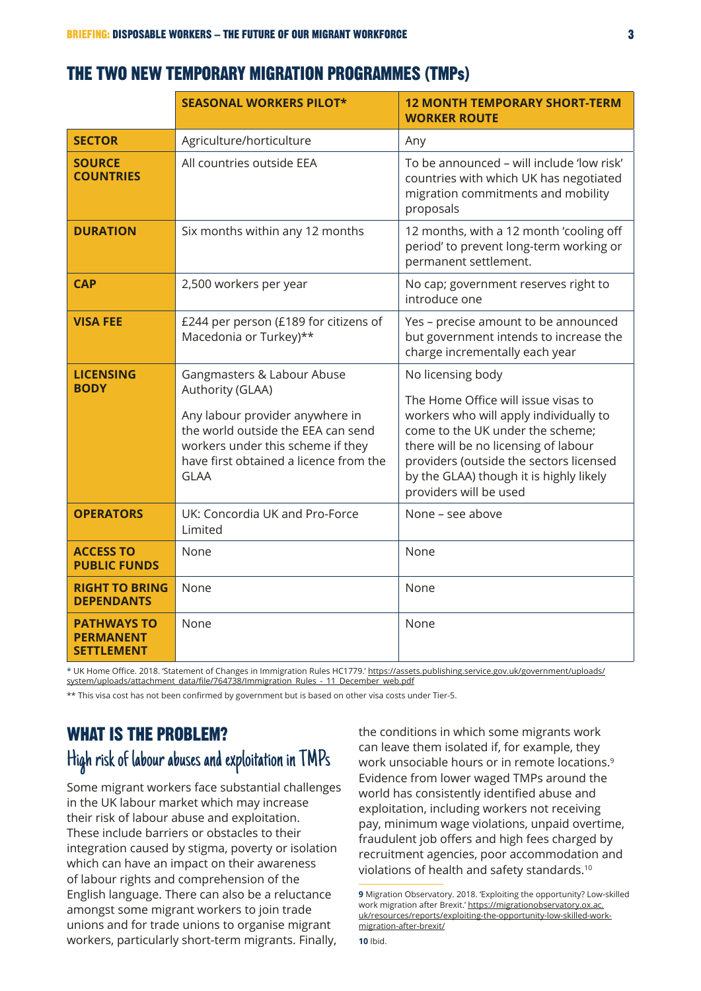### THE TWO NEW TEMPORARY MIGRATION PROGRAMMES (TMPs)

|                                                      | <b>SEASONAL WORKERS PILOT*</b>                                                                                                                                                                                        | <b>12 MONTH TEMPORARY SHORT-TERM</b><br><b>WORKER ROUTE</b>                                                                                                                                                                                                                                    |
|------------------------------------------------------|-----------------------------------------------------------------------------------------------------------------------------------------------------------------------------------------------------------------------|------------------------------------------------------------------------------------------------------------------------------------------------------------------------------------------------------------------------------------------------------------------------------------------------|
| <b>SECTOR</b>                                        | Agriculture/horticulture                                                                                                                                                                                              | Any                                                                                                                                                                                                                                                                                            |
| <b>SOURCE</b><br><b>COUNTRIES</b>                    | All countries outside EEA                                                                                                                                                                                             | To be announced - will include 'low risk'<br>countries with which UK has negotiated<br>migration commitments and mobility<br>proposals                                                                                                                                                         |
| <b>DURATION</b>                                      | Six months within any 12 months                                                                                                                                                                                       | 12 months, with a 12 month 'cooling off<br>period' to prevent long-term working or<br>permanent settlement.                                                                                                                                                                                    |
| <b>CAP</b>                                           | 2,500 workers per year                                                                                                                                                                                                | No cap; government reserves right to<br>introduce one                                                                                                                                                                                                                                          |
| <b>VISA FEE</b>                                      | £244 per person (£189 for citizens of<br>Macedonia or Turkey)**                                                                                                                                                       | Yes - precise amount to be announced<br>but government intends to increase the<br>charge incrementally each year                                                                                                                                                                               |
| <b>LICENSING</b><br><b>BODY</b>                      | Gangmasters & Labour Abuse<br>Authority (GLAA)<br>Any labour provider anywhere in<br>the world outside the EEA can send<br>workers under this scheme if they<br>have first obtained a licence from the<br><b>GLAA</b> | No licensing body<br>The Home Office will issue visas to<br>workers who will apply individually to<br>come to the UK under the scheme;<br>there will be no licensing of labour<br>providers (outside the sectors licensed<br>by the GLAA) though it is highly likely<br>providers will be used |
| <b>OPERATORS</b>                                     | UK: Concordia UK and Pro-Force<br>Limited                                                                                                                                                                             | None - see above                                                                                                                                                                                                                                                                               |
| <b>ACCESS TO</b><br><b>PUBLIC FUNDS</b>              | None                                                                                                                                                                                                                  | None                                                                                                                                                                                                                                                                                           |
| <b>RIGHT TO BRING</b><br><b>DEPENDANTS</b>           | None                                                                                                                                                                                                                  | None                                                                                                                                                                                                                                                                                           |
| <b>PATHWAYS TO</b><br>PERMANENT<br><b>SETTLEMENT</b> | None                                                                                                                                                                                                                  | None                                                                                                                                                                                                                                                                                           |

\* UK Home Office. 2018. 'Statement of Changes in Immigration Rules HC1779.' [https://assets.publishing.service.gov.uk/government/uploads/](https://assets.publishing.service.gov.uk/government/uploads/system/uploads/attachment_data/file/764738/Immigration_Rules_-_11_December_web.pdf) [system/uploads/attachment\\_data/file/764738/Immigration\\_](https://assets.publishing.service.gov.uk/government/uploads/system/uploads/attachment_data/file/764738/Immigration_Rules_-_11_December_web.pdf)Rules\_-\_11\_December\_web.pdf

\*\* This visa cost has not been confirmed by government but is based on other visa costs under Tier-5.

# WHAT IS THE PROBLEM? High risk of labour abuses and exploitation in TMPs

Some migrant workers face substantial challenges in the UK labour market which may increase their risk of labour abuse and exploitation. These include barriers or obstacles to their integration caused by stigma, poverty or isolation which can have an impact on their awareness of labour rights and comprehension of the English language. There can also be a reluctance amongst some migrant workers to join trade unions and for trade unions to organise migrant workers, particularly short-term migrants. Finally,

the conditions in which some migrants work can leave them isolated if, for example, they work unsociable hours or in remote locations.9 Evidence from lower waged TMPs around the world has consistently identified abuse and exploitation, including workers not receiving pay, minimum wage violations, unpaid overtime, fraudulent job offers and high fees charged by recruitment agencies, poor accommodation and violations of health and safety standards.10

**<sup>9</sup>** Migration Observatory. 2018. 'Exploiting the opportunity? Low-skilled work migration after Brexit.' [https://migrationobservatory.ox.ac.](https://migrationobservatory.ox.ac.uk/resources/reports/exploiting-the-opportunity-low-skilled-work-migration-after-brexit/) [uk/resources/reports/exploiting-the-opportunity-low-skilled-work](https://migrationobservatory.ox.ac.uk/resources/reports/exploiting-the-opportunity-low-skilled-work-migration-after-brexit/)[migration-after-brexit/](https://migrationobservatory.ox.ac.uk/resources/reports/exploiting-the-opportunity-low-skilled-work-migration-after-brexit/)

**<sup>10</sup>** Ibid.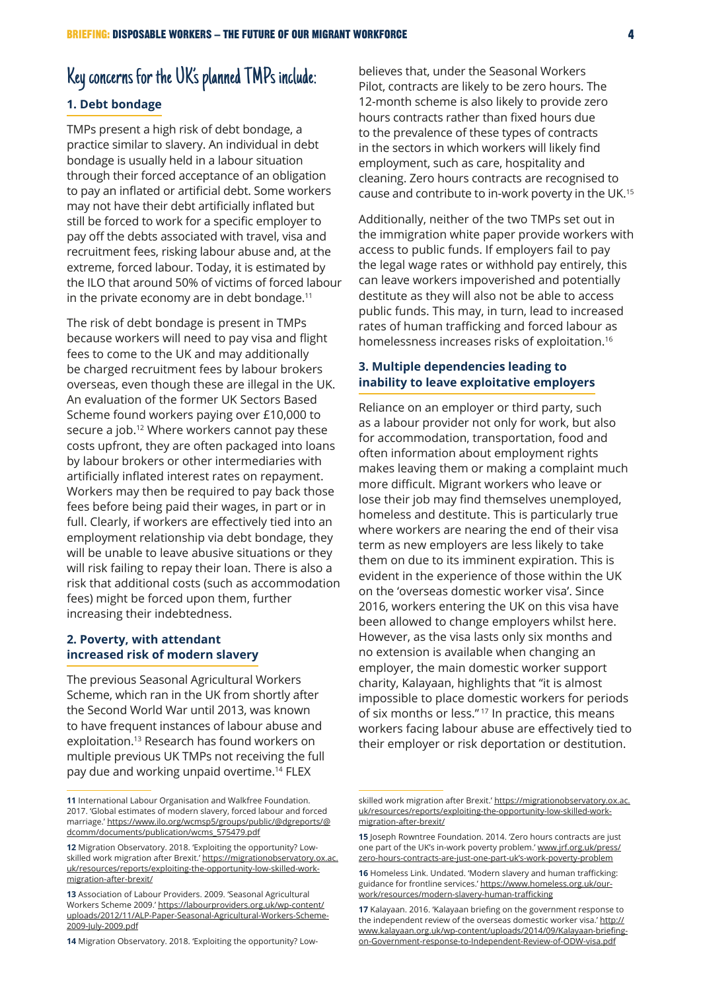# Key concerns for the UK's planned TMPs include:

#### **1. Debt bondage**

TMPs present a high risk of debt bondage, a practice similar to slavery. An individual in debt bondage is usually held in a labour situation through their forced acceptance of an obligation to pay an inflated or artificial debt. Some workers may not have their debt artificially inflated but still be forced to work for a specific employer to pay off the debts associated with travel, visa and recruitment fees, risking labour abuse and, at the extreme, forced labour. Today, it is estimated by the ILO that around 50% of victims of forced labour in the private economy are in debt bondage. $11$ 

The risk of debt bondage is present in TMPs because workers will need to pay visa and flight fees to come to the UK and may additionally be charged recruitment fees by labour brokers overseas, even though these are illegal in the UK. An evaluation of the former UK Sectors Based Scheme found workers paying over £10,000 to secure a job.<sup>12</sup> Where workers cannot pay these costs upfront, they are often packaged into loans by labour brokers or other intermediaries with artificially inflated interest rates on repayment. Workers may then be required to pay back those fees before being paid their wages, in part or in full. Clearly, if workers are effectively tied into an employment relationship via debt bondage, they will be unable to leave abusive situations or they will risk failing to repay their loan. There is also a risk that additional costs (such as accommodation fees) might be forced upon them, further increasing their indebtedness.

#### **2. Poverty, with attendant increased risk of modern slavery**

The previous Seasonal Agricultural Workers Scheme, which ran in the UK from shortly after the Second World War until 2013, was known to have frequent instances of labour abuse and exploitation.13 Research has found workers on multiple previous UK TMPs not receiving the full pay due and working unpaid overtime.14 FLEX

**14** Migration Observatory. 2018. 'Exploiting the opportunity? Low-

believes that, under the Seasonal Workers Pilot, contracts are likely to be zero hours. The 12-month scheme is also likely to provide zero hours contracts rather than fixed hours due to the prevalence of these types of contracts in the sectors in which workers will likely find employment, such as care, hospitality and cleaning. Zero hours contracts are recognised to cause and contribute to in-work poverty in the UK.15

Additionally, neither of the two TMPs set out in the immigration white paper provide workers with access to public funds. If employers fail to pay the legal wage rates or withhold pay entirely, this can leave workers impoverished and potentially destitute as they will also not be able to access public funds. This may, in turn, lead to increased rates of human trafficking and forced labour as homelessness increases risks of exploitation.16

#### **3. Multiple dependencies leading to inability to leave exploitative employers**

Reliance on an employer or third party, such as a labour provider not only for work, but also for accommodation, transportation, food and often information about employment rights makes leaving them or making a complaint much more difficult. Migrant workers who leave or lose their job may find themselves unemployed, homeless and destitute. This is particularly true where workers are nearing the end of their visa term as new employers are less likely to take them on due to its imminent expiration. This is evident in the experience of those within the UK on the 'overseas domestic worker visa'. Since 2016, workers entering the UK on this visa have been allowed to change employers whilst here. However, as the visa lasts only six months and no extension is available when changing an employer, the main domestic worker support charity, Kalayaan, highlights that "it is almost impossible to place domestic workers for periods of six months or less." 17 In practice, this means workers facing labour abuse are effectively tied to their employer or risk deportation or destitution.

**<sup>11</sup>** International Labour Organisation and Walkfree Foundation. 2017. 'Global estimates of modern slavery, forced labour and forced marriage.' [https://www.ilo.org/wcmsp5/groups/public/@](https://www.ilo.org/wcmsp5/groups/public/)dgreports/@ dcomm/documents/publication/wcms\_575479.pdf

**<sup>12</sup>** Migration Observatory. 2018. 'Exploiting the opportunity? Lowskilled work migration after Brexit.' [https://migrationobservatory.ox.ac.](https://migrationobservatory.ox.ac.uk/resources/reports/exploiting-the-opportunity-low-skilled-work-migration-after-brexit/) [uk/resources/reports/exploiting-the-opportunity-low-skilled-work](https://migrationobservatory.ox.ac.uk/resources/reports/exploiting-the-opportunity-low-skilled-work-migration-after-brexit/)[migration-after-brexit/](https://migrationobservatory.ox.ac.uk/resources/reports/exploiting-the-opportunity-low-skilled-work-migration-after-brexit/)

**<sup>13</sup>** Association of Labour Providers. 2009. 'Seasonal Agricultural Workers Scheme 2009.' [https://labourproviders.org.uk/wp-content/](https://labourproviders.org.uk/wp-content/uploads/2012/11/ALP-Paper-Seasonal-Agricultural-Workers-Scheme-2009-July-2009.pdf) [uploads/2012/11/ALP-Paper-Seasonal-Agricultural-Workers-Scheme-](https://labourproviders.org.uk/wp-content/uploads/2012/11/ALP-Paper-Seasonal-Agricultural-Workers-Scheme-2009-July-2009.pdf)[2009-July-2009.pdf](https://labourproviders.org.uk/wp-content/uploads/2012/11/ALP-Paper-Seasonal-Agricultural-Workers-Scheme-2009-July-2009.pdf)

skilled work migration after Brexit.' [https://migrationobservatory.ox.ac.](https://migrationobservatory.ox.ac.uk/resources/reports/exploiting-the-opportunity-low-skilled-work-migration-after-brexit/) [uk/resources/reports/exploiting-the-opportunity-low-skilled-work](https://migrationobservatory.ox.ac.uk/resources/reports/exploiting-the-opportunity-low-skilled-work-migration-after-brexit/)[migration-after-brexit/](https://migrationobservatory.ox.ac.uk/resources/reports/exploiting-the-opportunity-low-skilled-work-migration-after-brexit/)

**<sup>15</sup>** Joseph Rowntree Foundation. 2014. 'Zero hours contracts are just one part of the UK's in-work poverty problem.' [www.jrf.org.uk/press/](http://www.jrf.org.uk/press/zero-hours-contracts-are-just-one-part-uk’s-work-poverty-problem) [zero-hours-contracts-are-just-one-part-uk's-work-poverty-problem](http://www.jrf.org.uk/press/zero-hours-contracts-are-just-one-part-uk’s-work-poverty-problem)

**<sup>16</sup>** Homeless Link. Undated. 'Modern slavery and human trafficking: guidance for frontline services.' [https://www.homeless.org.uk/our](https://www.homeless.org.uk/our-work/resources/modern-slavery-human-trafficking)[work/resources/modern-slavery-human-trafficking](https://www.homeless.org.uk/our-work/resources/modern-slavery-human-trafficking)

**<sup>17</sup>** Kalayaan. 2016. 'Kalayaan briefing on the government response to the independent review of the overseas domestic worker visa.' [http://](http://www.kalayaan.org.uk/wp-content/uploads/2014/09/Kalayaan-briefing-on-Government-response-to-Independent-Review-of-ODW-visa.pdf) [www.kalayaan.org.uk/wp-content/uploads/2014/09/Kalayaan-briefing](http://www.kalayaan.org.uk/wp-content/uploads/2014/09/Kalayaan-briefing-on-Government-response-to-Independent-Review-of-ODW-visa.pdf)[on-Government-response-to-Independent-Review-of-ODW-visa.pdf](http://www.kalayaan.org.uk/wp-content/uploads/2014/09/Kalayaan-briefing-on-Government-response-to-Independent-Review-of-ODW-visa.pdf)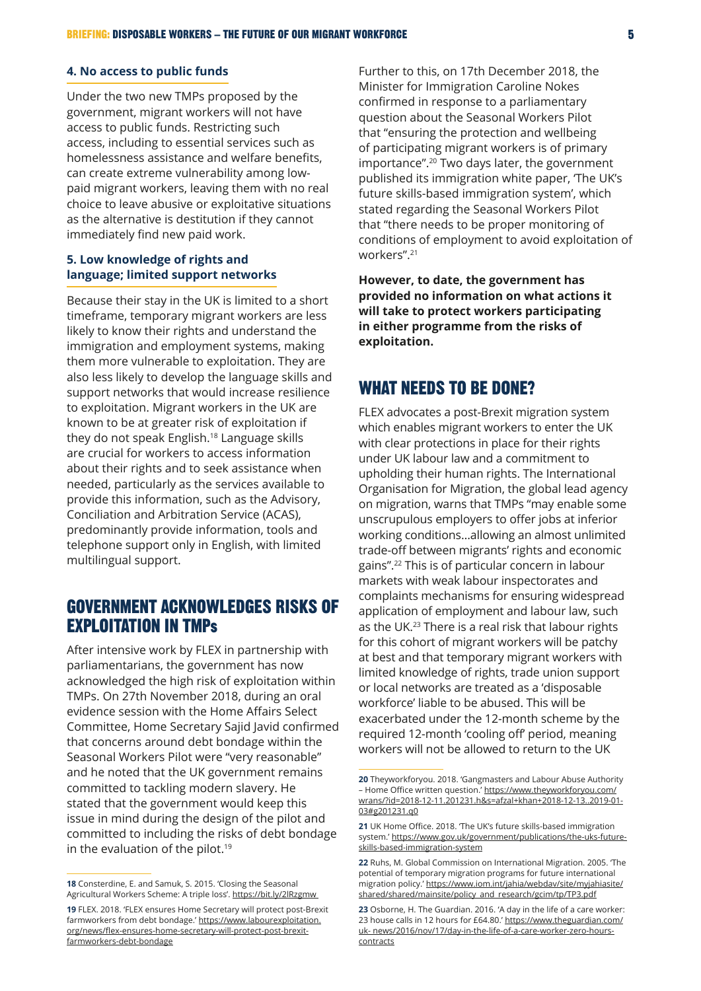#### **4. No access to public funds**

Under the two new TMPs proposed by the government, migrant workers will not have access to public funds. Restricting such access, including to essential services such as homelessness assistance and welfare benefits, can create extreme vulnerability among lowpaid migrant workers, leaving them with no real choice to leave abusive or exploitative situations as the alternative is destitution if they cannot immediately find new paid work.

#### **5. Low knowledge of rights and language; limited support networks**

Because their stay in the UK is limited to a short timeframe, temporary migrant workers are less likely to know their rights and understand the immigration and employment systems, making them more vulnerable to exploitation. They are also less likely to develop the language skills and support networks that would increase resilience to exploitation. Migrant workers in the UK are known to be at greater risk of exploitation if they do not speak English.18 Language skills are crucial for workers to access information about their rights and to seek assistance when needed, particularly as the services available to provide this information, such as the Advisory, Conciliation and Arbitration Service (ACAS), predominantly provide information, tools and telephone support only in English, with limited multilingual support.

### GOVERNMENT ACKNOWLEDGES RISKS OF EXPLOITATION IN TMPs

After intensive work by FLEX in partnership with parliamentarians, the government has now acknowledged the high risk of exploitation within TMPs. On 27th November 2018, during an oral evidence session with the Home Affairs Select Committee, Home Secretary Sajid Javid confirmed that concerns around debt bondage within the Seasonal Workers Pilot were "very reasonable" and he noted that the UK government remains committed to tackling modern slavery. He stated that the government would keep this issue in mind during the design of the pilot and committed to including the risks of debt bondage in the evaluation of the pilot.<sup>19</sup>

Further to this, on 17th December 2018, the Minister for Immigration Caroline Nokes confirmed in response to a parliamentary question about the Seasonal Workers Pilot that "ensuring the protection and wellbeing of participating migrant workers is of primary importance".20 Two days later, the government published its immigration white paper, 'The UK's future skills-based immigration system', which stated regarding the Seasonal Workers Pilot that "there needs to be proper monitoring of conditions of employment to avoid exploitation of workers".21

**However, to date, the government has provided no information on what actions it will take to protect workers participating in either programme from the risks of exploitation.**

### WHAT NEEDS TO BE DONE?

FLEX advocates a post-Brexit migration system which enables migrant workers to enter the UK with clear protections in place for their rights under UK labour law and a commitment to upholding their human rights. The International Organisation for Migration, the global lead agency on migration, warns that TMPs "may enable some unscrupulous employers to offer jobs at inferior working conditions…allowing an almost unlimited trade-off between migrants' rights and economic gains".22 This is of particular concern in labour markets with weak labour inspectorates and complaints mechanisms for ensuring widespread application of employment and labour law, such as the UK.23 There is a real risk that labour rights for this cohort of migrant workers will be patchy at best and that temporary migrant workers with limited knowledge of rights, trade union support or local networks are treated as a 'disposable workforce' liable to be abused. This will be exacerbated under the 12-month scheme by the required 12-month 'cooling off' period, meaning workers will not be allowed to return to the UK

**<sup>18</sup>** Consterdine, E. and Samuk, S. 2015. 'Closing the Seasonal Agricultural Workers Scheme: A triple loss'.<https://bit.ly/2lRzgmw>

**<sup>19</sup>** FLEX. 2018. 'FLEX ensures Home Secretary will protect post-Brexit farmworkers from debt bondage.' [https://www.labourexploitation.](https://www.labourexploitation.org/news/flex-ensures-home-secretary-will-protect-post-brexit-farmworkers-debt-bondage) org/news/[flex-ensures-home-secretary-will-protect-post-brexit](https://www.labourexploitation.org/news/flex-ensures-home-secretary-will-protect-post-brexit-farmworkers-debt-bondage)[farmworkers-debt-bondage](https://www.labourexploitation.org/news/flex-ensures-home-secretary-will-protect-post-brexit-farmworkers-debt-bondage)

**<sup>20</sup>** Theyworkforyou. 2018. 'Gangmasters and Labour Abuse Authority – Home Office written question.' [https://www.theyworkforyou.com/](https://www.theyworkforyou.com/wrans/?id=2018-12-11.201231.h&s=afzal+khan+2018-12-13..2019-01-03#g201231.q0) [wrans/?id=2018-12-11.201231.h&s=afzal+khan+2018-12-13..2019-01-](https://www.theyworkforyou.com/wrans/?id=2018-12-11.201231.h&s=afzal+khan+2018-12-13..2019-01-03#g201231.q0) [03#g201231.q0](https://www.theyworkforyou.com/wrans/?id=2018-12-11.201231.h&s=afzal+khan+2018-12-13..2019-01-03#g201231.q0)

**<sup>21</sup>** UK Home Office. 2018. 'The UK's future skills-based immigration system.' [https://www.gov.uk/government/publications/the-uks-future](https://www.gov.uk/government/publications/the-uks-future-skills-based-immigration-system)[skills-based-immigration-system](https://www.gov.uk/government/publications/the-uks-future-skills-based-immigration-system)

**<sup>22</sup>** Ruhs, M. Global Commission on International Migration. 2005. 'The potential of temporary migration programs for future international migration policy.' [https://www.iom.int/jahia/webdav/site/myjahiasite/](https://www.iom.int/jahia/webdav/site/myjahiasite/shared/shared/mainsite/policy_and_research/gcim/tp/TP3.pdf) [shared/shared/mainsite/policy\\_and\\_research/gcim/tp/TP3.pdf](https://www.iom.int/jahia/webdav/site/myjahiasite/shared/shared/mainsite/policy_and_research/gcim/tp/TP3.pdf)

**<sup>23</sup>** Osborne, H. The Guardian. 2016. 'A day in the life of a care worker: 23 house calls in 12 hours for £64.80.' [https://www.theguardian.com/](https://www.theguardian.com/uk-) [uk-](https://www.theguardian.com/uk-) news/2016/nov/17/day-in-the-life-of-a-care-worker-zero-hourscontracts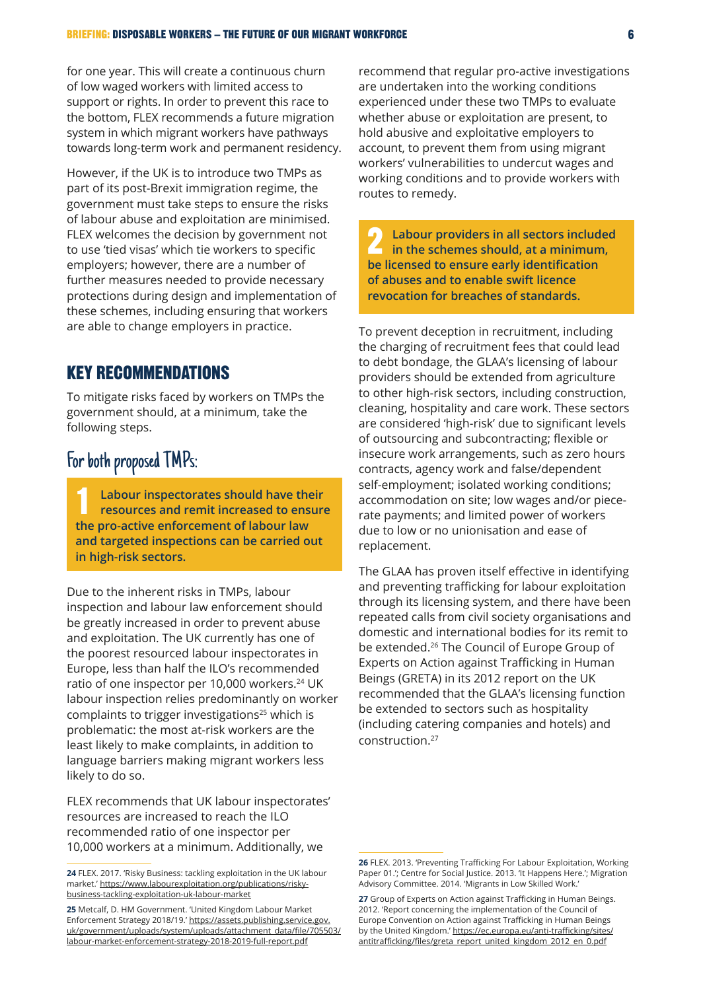for one year. This will create a continuous churn of low waged workers with limited access to support or rights. In order to prevent this race to the bottom, FLEX recommends a future migration system in which migrant workers have pathways towards long-term work and permanent residency.

However, if the UK is to introduce two TMPs as part of its post-Brexit immigration regime, the government must take steps to ensure the risks of labour abuse and exploitation are minimised. FLEX welcomes the decision by government not to use 'tied visas' which tie workers to specific employers; however, there are a number of further measures needed to provide necessary protections during design and implementation of these schemes, including ensuring that workers are able to change employers in practice.

### KEY RECOMMENDATIONS

To mitigate risks faced by workers on TMPs the government should, at a minimum, take the following steps.

# For both proposed TMPs:

1 **Labour inspectorates should have their resources and remit increased to ensure the pro-active enforcement of labour law and targeted inspections can be carried out in high-risk sectors.**

Due to the inherent risks in TMPs, labour inspection and labour law enforcement should be greatly increased in order to prevent abuse and exploitation. The UK currently has one of the poorest resourced labour inspectorates in Europe, less than half the ILO's recommended ratio of one inspector per 10,000 workers.<sup>24</sup> UK labour inspection relies predominantly on worker complaints to trigger investigations<sup>25</sup> which is problematic: the most at-risk workers are the least likely to make complaints, in addition to language barriers making migrant workers less likely to do so.

FLEX recommends that UK labour inspectorates' resources are increased to reach the ILO recommended ratio of one inspector per 10,000 workers at a minimum. Additionally, we

recommend that regular pro-active investigations are undertaken into the working conditions experienced under these two TMPs to evaluate whether abuse or exploitation are present, to hold abusive and exploitative employers to account, to prevent them from using migrant workers' vulnerabilities to undercut wages and working conditions and to provide workers with routes to remedy.

2 **Labour providers in all sectors included in the schemes should, at a minimum, be licensed to ensure early identification of abuses and to enable swift licence revocation for breaches of standards.**

To prevent deception in recruitment, including the charging of recruitment fees that could lead to debt bondage, the GLAA's licensing of labour providers should be extended from agriculture to other high-risk sectors, including construction, cleaning, hospitality and care work. These sectors are considered 'high-risk' due to significant levels of outsourcing and subcontracting; flexible or insecure work arrangements, such as zero hours contracts, agency work and false/dependent self-employment; isolated working conditions; accommodation on site; low wages and/or piecerate payments; and limited power of workers due to low or no unionisation and ease of replacement.

The GLAA has proven itself effective in identifying and preventing trafficking for labour exploitation through its licensing system, and there have been repeated calls from civil society organisations and domestic and international bodies for its remit to be extended.<sup>26</sup> The Council of Europe Group of Experts on Action against Trafficking in Human Beings (GRETA) in its 2012 report on the UK recommended that the GLAA's licensing function be extended to sectors such as hospitality (including catering companies and hotels) and construction.27

**<sup>24</sup>** FLEX. 2017. 'Risky Business: tackling exploitation in the UK labour market.' [https://www.labourexploitation.org/publications/risky](https://www.labourexploitation.org/publications/risky-business-tackling-exploitation-uk-labour-market)[business-tackling-exploitation-uk-labour-market](https://www.labourexploitation.org/publications/risky-business-tackling-exploitation-uk-labour-market)

**<sup>25</sup>** Metcalf, D. HM Government. 'United Kingdom Labour Market Enforcement Strategy 2018/19.' [https://assets.publishing.service.gov.](https://assets.publishing.service.gov.uk/government/uploads/system/uploads/attachment_data/file/705503/labour-market-enforcement-strategy-2018-2019-full-report.pdf) [uk/government/uploads/system/uploads/attachment](https://assets.publishing.service.gov.uk/government/uploads/system/uploads/attachment_data/file/705503/labour-market-enforcement-strategy-2018-2019-full-report.pdf)\_data/file/705503/ [labour-market-enforcement-strategy-2018-2019-full-report.pdf](https://assets.publishing.service.gov.uk/government/uploads/system/uploads/attachment_data/file/705503/labour-market-enforcement-strategy-2018-2019-full-report.pdf)

**<sup>26</sup>** FLEX. 2013. 'Preventing Trafficking For Labour Exploitation, Working Paper 01.'; Centre for Social Justice. 2013. 'It Happens Here.'; Migration Advisory Committee. 2014. 'Migrants in Low Skilled Work.'

**<sup>27</sup>** Group of Experts on Action against Trafficking in Human Beings. 2012. 'Report concerning the implementation of the Council of Europe Convention on Action against Trafficking in Human Beings by the United Kingdom.' [https://ec.europa.eu/anti-trafficking/sites/](https://ec.europa.eu/anti-trafficking/sites/antitrafficking/files/greta_report_united_kingdom_2012_en_0.pdf) [antitrafficking/files/greta\\_report\\_united\\_kingdom\\_2012\\_en\\_0.pdf](https://ec.europa.eu/anti-trafficking/sites/antitrafficking/files/greta_report_united_kingdom_2012_en_0.pdf)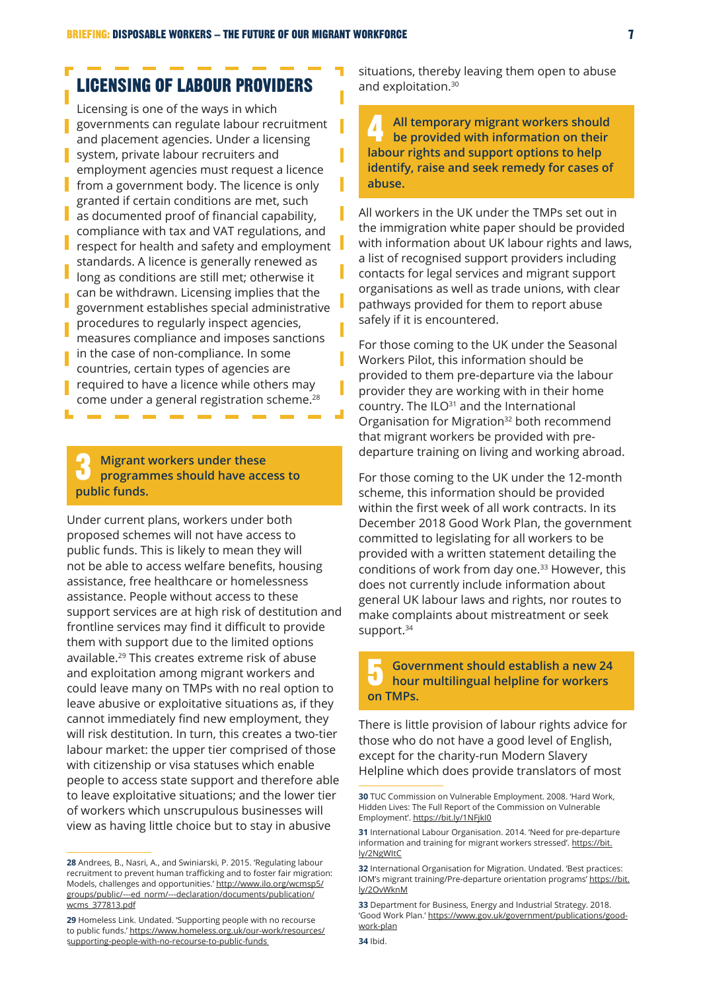# LICENSING OF LABOUR PROVIDERS

Licensing is one of the ways in which **g** governments can regulate labour recruitment and placement agencies. Under a licensing system, private labour recruiters and employment agencies must request a licence from a government body. The licence is only granted if certain conditions are met, such as documented proof of financial capability, compliance with tax and VAT regulations, and respect for health and safety and employment standards. A licence is generally renewed as long as conditions are still met; otherwise it can be withdrawn. Licensing implies that the government establishes special administrative procedures to regularly inspect agencies, measures compliance and imposes sanctions in the case of non-compliance. In some countries, certain types of agencies are required to have a licence while others may come under a general registration scheme.<sup>28</sup>

#### 3 **Migrant workers under these programmes should have access to public funds.**

Under current plans, workers under both proposed schemes will not have access to public funds. This is likely to mean they will not be able to access welfare benefits, housing assistance, free healthcare or homelessness assistance. People without access to these support services are at high risk of destitution and frontline services may find it difficult to provide them with support due to the limited options available.29 This creates extreme risk of abuse and exploitation among migrant workers and could leave many on TMPs with no real option to leave abusive or exploitative situations as, if they cannot immediately find new employment, they will risk destitution. In turn, this creates a two-tier labour market: the upper tier comprised of those with citizenship or visa statuses which enable people to access state support and therefore able to leave exploitative situations; and the lower tier of workers which unscrupulous businesses will view as having little choice but to stay in abusive

situations, thereby leaving them open to abuse and exploitation.<sup>30</sup>

4 **All temporary migrant workers should be provided with information on their labour rights and support options to help identify, raise and seek remedy for cases of abuse.**

All workers in the UK under the TMPs set out in the immigration white paper should be provided with information about UK labour rights and laws, a list of recognised support providers including contacts for legal services and migrant support organisations as well as trade unions, with clear pathways provided for them to report abuse safely if it is encountered.

For those coming to the UK under the Seasonal Workers Pilot, this information should be provided to them pre-departure via the labour provider they are working with in their home country. The ILO<sup>31</sup> and the International Organisation for Migration<sup>32</sup> both recommend that migrant workers be provided with predeparture training on living and working abroad.

For those coming to the UK under the 12-month scheme, this information should be provided within the first week of all work contracts. In its December 2018 Good Work Plan, the government committed to legislating for all workers to be provided with a written statement detailing the conditions of work from day one.<sup>33</sup> However, this does not currently include information about general UK labour laws and rights, nor routes to make complaints about mistreatment or seek support.<sup>34</sup>

5 **Government should establish a new 24 hour multilingual helpline for workers on TMPs.**

There is little provision of labour rights advice for those who do not have a good level of English, except for the charity-run Modern Slavery Helpline which does provide translators of most

**<sup>28</sup>** Andrees, B., Nasri, A., and Swiniarski, P. 2015. 'Regulating labour recruitment to prevent human trafficking and to foster fair migration: Models, challenges and opportunities.' [http://www.ilo.org/wcmsp5/](http://www.ilo.org/wcmsp5/groups/public/---ed_norm/---declaration/documents/publication/wcms_377813.pdf) [groups/public/---ed\\_norm/---declaration/documents/publication/](http://www.ilo.org/wcmsp5/groups/public/---ed_norm/---declaration/documents/publication/wcms_377813.pdf) [wcms\\_377813.pdf](http://www.ilo.org/wcmsp5/groups/public/---ed_norm/---declaration/documents/publication/wcms_377813.pdf)

**<sup>29</sup>** Homeless Link. Undated. 'Supporting people with no recourse to public funds.' [https://www.homeless.org.uk/our-work/resources/](https://www.homeless.org.uk/our-work/resources/supporting-people-with-no-recourse-to-public-funds) [supporting-people-with-no-recourse-to-public-funds](https://www.homeless.org.uk/our-work/resources/supporting-people-with-no-recourse-to-public-funds)

**<sup>30</sup>** TUC Commission on Vulnerable Employment. 2008. 'Hard Work, Hidden Lives: The Full Report of the Commission on Vulnerable Employment'.<https://bit.ly/1NFjkI0>

**<sup>31</sup>** International Labour Organisation. 2014. 'Need for pre-departure information and training for migrant workers stressed'. [https://bit.](https://bit.ly/2NgWItC) [ly/2NgWItC](https://bit.ly/2NgWItC)

**<sup>32</sup>** International Organisation for Migration. Undated. 'Best practices: IOM's migrant training/Pre-departure orientation programs' [https://bit.](https://bit.ly/2OvWknM) [ly/2OvWknM](https://bit.ly/2OvWknM)

**<sup>33</sup>** Department for Business, Energy and Industrial Strategy. 2018. 'Good Work Plan.' [https://www.gov.uk/government/publications/good](https://www.gov.uk/government/publications/good-work-plan)[work-plan](https://www.gov.uk/government/publications/good-work-plan)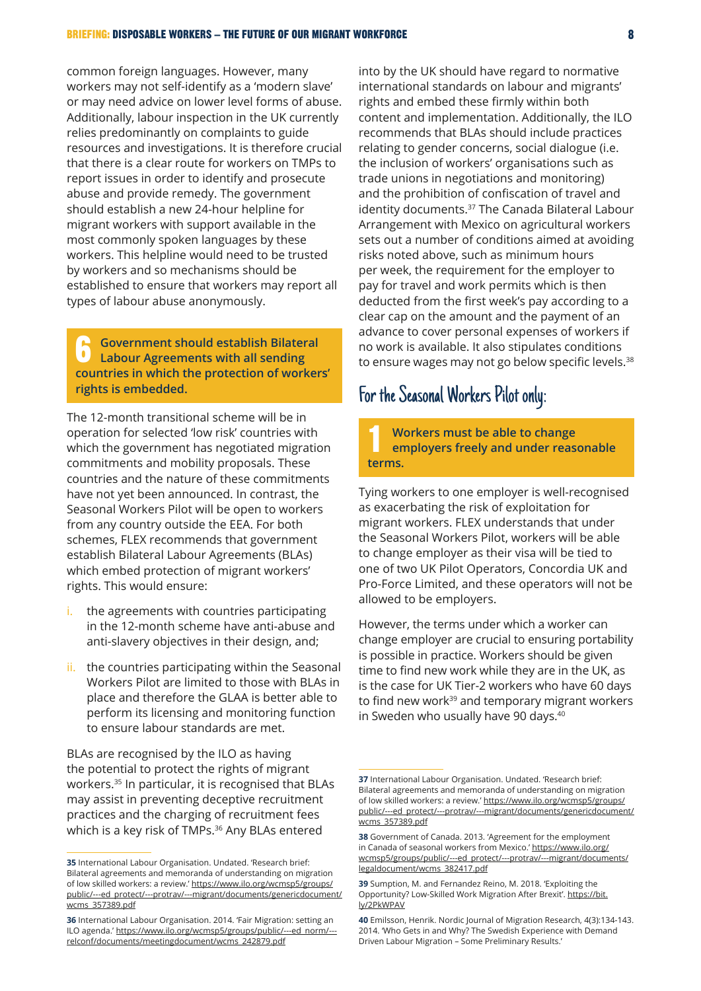common foreign languages. However, many workers may not self-identify as a 'modern slave' or may need advice on lower level forms of abuse. Additionally, labour inspection in the UK currently relies predominantly on complaints to guide resources and investigations. It is therefore crucial that there is a clear route for workers on TMPs to report issues in order to identify and prosecute abuse and provide remedy. The government should establish a new 24-hour helpline for migrant workers with support available in the most commonly spoken languages by these workers. This helpline would need to be trusted by workers and so mechanisms should be established to ensure that workers may report all types of labour abuse anonymously.

6 **Government should establish Bilateral Labour Agreements with all sending countries in which the protection of workers' rights is embedded.**

The 12-month transitional scheme will be in operation for selected 'low risk' countries with which the government has negotiated migration commitments and mobility proposals. These countries and the nature of these commitments have not yet been announced. In contrast, the Seasonal Workers Pilot will be open to workers from any country outside the EEA. For both schemes, FLEX recommends that government establish Bilateral Labour Agreements (BLAs) which embed protection of migrant workers' rights. This would ensure:

- i. the agreements with countries participating in the 12-month scheme have anti-abuse and anti-slavery objectives in their design, and;
- ii. the countries participating within the Seasonal Workers Pilot are limited to those with BLAs in place and therefore the GLAA is better able to perform its licensing and monitoring function to ensure labour standards are met.

BLAs are recognised by the ILO as having the potential to protect the rights of migrant workers.35 In particular, it is recognised that BLAs may assist in preventing deceptive recruitment practices and the charging of recruitment fees which is a key risk of TMPs.<sup>36</sup> Any BLAs entered

into by the UK should have regard to normative international standards on labour and migrants' rights and embed these firmly within both content and implementation. Additionally, the ILO recommends that BLAs should include practices relating to gender concerns, social dialogue (i.e. the inclusion of workers' organisations such as trade unions in negotiations and monitoring) and the prohibition of confiscation of travel and identity documents.<sup>37</sup> The Canada Bilateral Labour Arrangement with Mexico on agricultural workers sets out a number of conditions aimed at avoiding risks noted above, such as minimum hours per week, the requirement for the employer to pay for travel and work permits which is then deducted from the first week's pay according to a clear cap on the amount and the payment of an advance to cover personal expenses of workers if no work is available. It also stipulates conditions to ensure wages may not go below specific levels.<sup>38</sup>

### For the Seasonal Workers Pilot only:

1 **Workers must be able to change employers freely and under reasonable terms.**

Tying workers to one employer is well-recognised as exacerbating the risk of exploitation for migrant workers. FLEX understands that under the Seasonal Workers Pilot, workers will be able to change employer as their visa will be tied to one of two UK Pilot Operators, Concordia UK and Pro-Force Limited, and these operators will not be allowed to be employers.

However, the terms under which a worker can change employer are crucial to ensuring portability is possible in practice. Workers should be given time to find new work while they are in the UK, as is the case for UK Tier-2 workers who have 60 days to find new work<sup>39</sup> and temporary migrant workers in Sweden who usually have 90 days.<sup>40</sup>

**<sup>35</sup>** International Labour Organisation. Undated. 'Research brief: Bilateral agreements and memoranda of understanding on migration of low skilled workers: a review.' [https://www.ilo.org/wcmsp5/groups/](https://www.ilo.org/wcmsp5/groups/public/---ed_protect/---protrav/---migrant/documents/genericdocument/wcms_357389.pdf) [public/---ed\\_protect/---protrav/---migrant/documents/genericdocument/](https://www.ilo.org/wcmsp5/groups/public/---ed_protect/---protrav/---migrant/documents/genericdocument/wcms_357389.pdf) [wcms\\_357389.pdf](https://www.ilo.org/wcmsp5/groups/public/---ed_protect/---protrav/---migrant/documents/genericdocument/wcms_357389.pdf)

**<sup>36</sup>** International Labour Organisation. 2014. 'Fair Migration: setting an ILO agenda.' [https://www.ilo.org/wcmsp5/groups/public/---ed\\_norm/--](https://www.ilo.org/wcmsp5/groups/public/---ed_norm/---relconf/documents/meetingdocument/wcms_242879.pdf) [relconf/documents/meetingdocument/wcms\\_242879.pdf](https://www.ilo.org/wcmsp5/groups/public/---ed_norm/---relconf/documents/meetingdocument/wcms_242879.pdf)

**<sup>37</sup>** International Labour Organisation. Undated. 'Research brief: Bilateral agreements and memoranda of understanding on migration of low skilled workers: a review.' [https://www.ilo.org/wcmsp5/groups/](https://www.ilo.org/wcmsp5/groups/public/---ed_protect/---protrav/---migrant/documents/genericdocument/wcms_357389.pdf) [public/---ed\\_protect/---protrav/---migrant/documents/genericdocument/](https://www.ilo.org/wcmsp5/groups/public/---ed_protect/---protrav/---migrant/documents/genericdocument/wcms_357389.pdf) [wcms\\_357389.pdf](https://www.ilo.org/wcmsp5/groups/public/---ed_protect/---protrav/---migrant/documents/genericdocument/wcms_357389.pdf)

**<sup>38</sup>** Government of Canada. 2013. 'Agreement for the employment in Canada of seasonal workers from Mexico.' [https://www.ilo.org/](https://www.ilo.org/wcmsp5/groups/public/---ed_protect/---protrav/---migrant/documents/legaldocument/wcms_382417.pdf) [wcmsp5/groups/public/---ed\\_protect/---protrav/---migrant/documents/](https://www.ilo.org/wcmsp5/groups/public/---ed_protect/---protrav/---migrant/documents/legaldocument/wcms_382417.pdf) [legaldocument/wcms\\_382417.pdf](https://www.ilo.org/wcmsp5/groups/public/---ed_protect/---protrav/---migrant/documents/legaldocument/wcms_382417.pdf)

**<sup>39</sup>** Sumption, M. and Fernandez Reino, M. 2018. 'Exploiting the Opportunity? Low-Skilled Work Migration After Brexit'. [https://bit.](https://bit.ly/2PkWPAV) [ly/2PkWPAV](https://bit.ly/2PkWPAV)

**<sup>40</sup>** Emilsson, Henrik. Nordic Journal of Migration Research, 4(3):134-143. 2014. 'Who Gets in and Why? The Swedish Experience with Demand Driven Labour Migration – Some Preliminary Results.'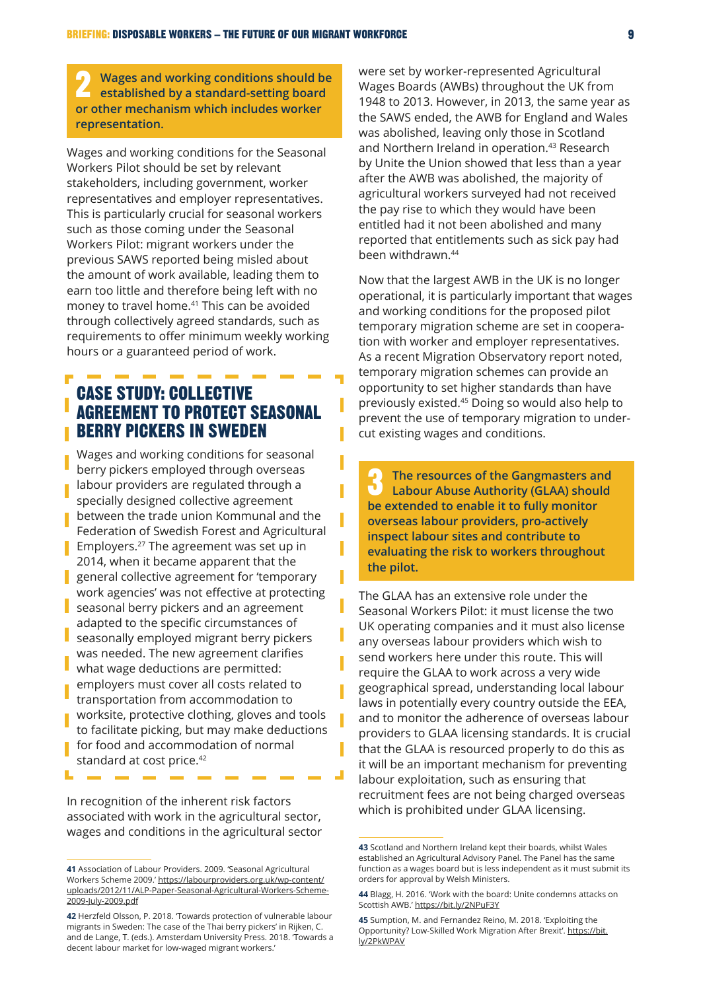2 **Wages and working conditions should be established by a standard-setting board or other mechanism which includes worker representation.**

Wages and working conditions for the Seasonal Workers Pilot should be set by relevant stakeholders, including government, worker representatives and employer representatives. This is particularly crucial for seasonal workers such as those coming under the Seasonal Workers Pilot: migrant workers under the previous SAWS reported being misled about the amount of work available, leading them to earn too little and therefore being left with no money to travel home.41 This can be avoided through collectively agreed standards, such as requirements to offer minimum weekly working hours or a guaranteed period of work.

### CASE STUDY: COLLECTIVE AGREEMENT TO PROTECT SEASONAL BERRY PICKERS IN SWEDEN

I

Γ

п

Wages and working conditions for seasonal berry pickers employed through overseas labour providers are regulated through a specially designed collective agreement between the trade union Kommunal and the Federation of Swedish Forest and Agricultural Employers.<sup>27</sup> The agreement was set up in 2014, when it became apparent that the general collective agreement for 'temporary work agencies' was not effective at protecting seasonal berry pickers and an agreement adapted to the specific circumstances of seasonally employed migrant berry pickers was needed. The new agreement clarifies what wage deductions are permitted: employers must cover all costs related to transportation from accommodation to worksite, protective clothing, gloves and tools to facilitate picking, but may make deductions for food and accommodation of normal standard at cost price.<sup>42</sup>

In recognition of the inherent risk factors associated with work in the agricultural sector, wages and conditions in the agricultural sector were set by worker-represented Agricultural Wages Boards (AWBs) throughout the UK from 1948 to 2013. However, in 2013, the same year as the SAWS ended, the AWB for England and Wales was abolished, leaving only those in Scotland and Northern Ireland in operation.<sup>43</sup> Research by Unite the Union showed that less than a year after the AWB was abolished, the majority of agricultural workers surveyed had not received the pay rise to which they would have been entitled had it not been abolished and many reported that entitlements such as sick pay had been withdrawn.44

Now that the largest AWB in the UK is no longer operational, it is particularly important that wages and working conditions for the proposed pilot temporary migration scheme are set in cooperation with worker and employer representatives. As a recent Migration Observatory report noted, temporary migration schemes can provide an opportunity to set higher standards than have previously existed.45 Doing so would also help to prevent the use of temporary migration to undercut existing wages and conditions.

3 **The resources of the Gangmasters and Labour Abuse Authority (GLAA) should be extended to enable it to fully monitor overseas labour providers, pro-actively inspect labour sites and contribute to evaluating the risk to workers throughout the pilot.**

The GLAA has an extensive role under the Seasonal Workers Pilot: it must license the two UK operating companies and it must also license any overseas labour providers which wish to send workers here under this route. This will require the GLAA to work across a very wide geographical spread, understanding local labour laws in potentially every country outside the EEA, and to monitor the adherence of overseas labour providers to GLAA licensing standards. It is crucial that the GLAA is resourced properly to do this as it will be an important mechanism for preventing labour exploitation, such as ensuring that recruitment fees are not being charged overseas which is prohibited under GLAA licensing.

**<sup>41</sup>** Association of Labour Providers. 2009. 'Seasonal Agricultural Workers Scheme 2009.' [https://labourproviders.org.uk/wp-content/](https://labourproviders.org.uk/wp-content/uploads/2012/11/ALP-Paper-Seasonal-Agricultural-Workers-Scheme-2009-July-2009.pdf) [uploads/2012/11/ALP-Paper-Seasonal-Agricultural-Workers-Scheme-](https://labourproviders.org.uk/wp-content/uploads/2012/11/ALP-Paper-Seasonal-Agricultural-Workers-Scheme-2009-July-2009.pdf)[2009-July-2009.pdf](https://labourproviders.org.uk/wp-content/uploads/2012/11/ALP-Paper-Seasonal-Agricultural-Workers-Scheme-2009-July-2009.pdf)

**<sup>42</sup>** Herzfeld Olsson, P. 2018. 'Towards protection of vulnerable labour migrants in Sweden: The case of the Thai berry pickers' in Rijken, C. and de Lange, T. (eds.). Amsterdam University Press. 2018. 'Towards a decent labour market for low-waged migrant workers.'

**<sup>43</sup>** Scotland and Northern Ireland kept their boards, whilst Wales established an Agricultural Advisory Panel. The Panel has the same function as a wages board but is less independent as it must submit its orders for approval by Welsh Ministers.

**<sup>44</sup>** Blagg, H. 2016. 'Work with the board: Unite condemns attacks on Scottish AWB.' https://bit.ly/2NPuF3Y

**<sup>45</sup>** Sumption, M. and Fernandez Reino, M. 2018. 'Exploiting the Opportunity? Low-Skilled Work Migration After Brexit'. [https://bit.](https://bit.ly/2PkWPAV) [ly/2PkWPAV](https://bit.ly/2PkWPAV)